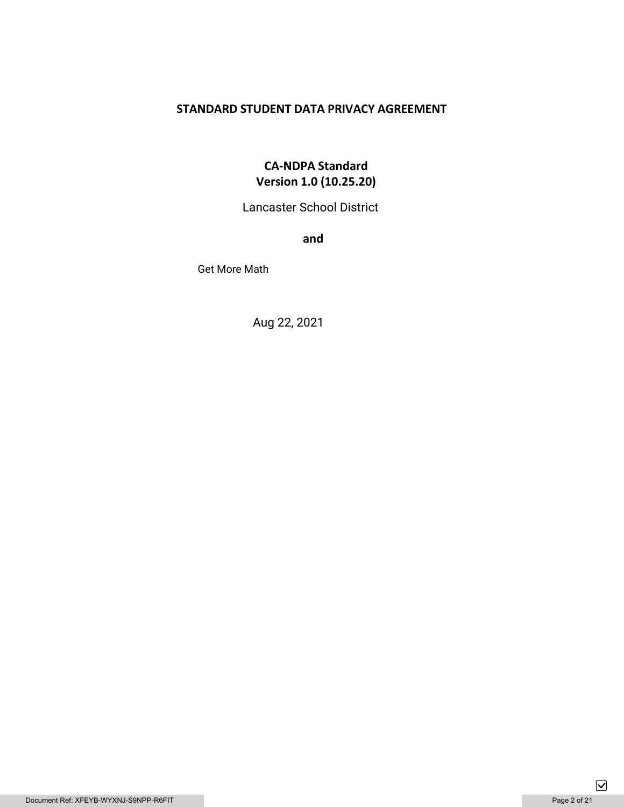## **STANDARD STUDENT DATA PRIVACY AGREEMENT**

## **CA-NDPA Standard Version 1.0 (10.25.20)**

Lancaster School District

**and** 

Get More Math

Aug 22, 2021

 $\boxed{\mathbf{\mathsf{v}}}$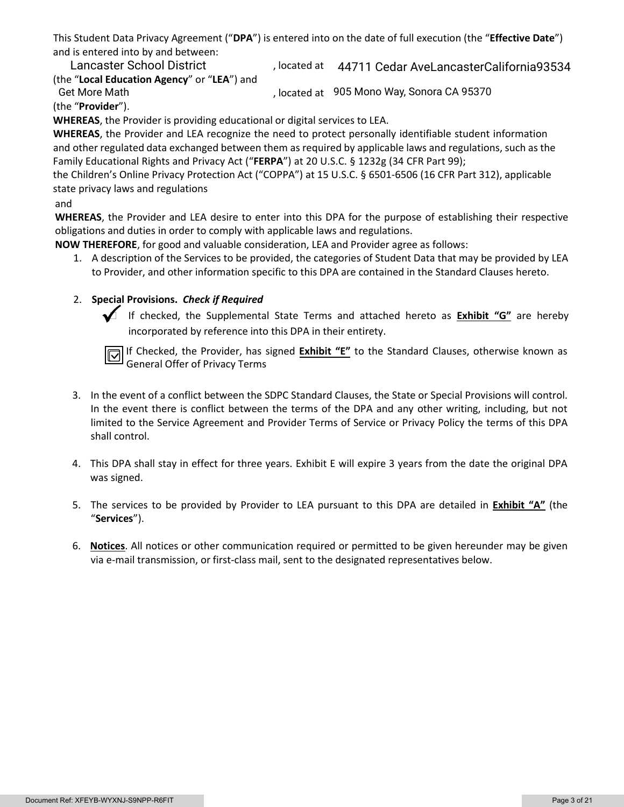This Student Data Privacy Agreement ("**DPA**") is entered into on the date of full execution (the "**Effective Date**") and is entered into by and between:

, located at Lancaster School District 44711 Cedar AveLancasterCalifornia93534 (the "**Local Education Agency**" or "**LEA**") and Get More Math **600 Compact Controllery**, located at 905 Mono Way, Sonora CA 95370

(the "**Provider**").

**WHEREAS**, the Provider is providing educational or digital services to LEA.

**WHEREAS**, the Provider and LEA recognize the need to protect personally identifiable student information and other regulated data exchanged between them as required by applicable laws and regulations, such as the Family Educational Rights and Privacy Act ("**FERPA**") at 20 U.S.C. § 1232g (34 CFR Part 99);

the Children's Online Privacy Protection Act ("COPPA") at 15 U.S.C. § 6501-6506 (16 CFR Part 312), applicable state privacy laws and regulations

### and

**WHEREAS**, the Provider and LEA desire to enter into this DPA for the purpose of establishing their respective obligations and duties in order to comply with applicable laws and regulations.

**NOW THEREFORE**, for good and valuable consideration, LEA and Provider agree as follows:

1. A description of the Services to be provided, the categories of Student Data that may be provided by LEA to Provider, and other information specific to this DPA are contained in the Standard Clauses hereto.

## 2. **Special Provisions.** *Check if Required*

 If checked, the Supplemental State Terms and attached hereto as **Exhibit "G"** are hereby incorporated by reference into this DPA in their entirety.

If Checked, the Provider, has signed **Exhibit "E"** to the Standard Clauses, otherwise known as General Offer of Privacy Terms

- 3. In the event of a conflict between the SDPC Standard Clauses, the State or Special Provisions will control. In the event there is conflict between the terms of the DPA and any other writing, including, but not limited to the Service Agreement and Provider Terms of Service or Privacy Policy the terms of this DPA shall control.
- 4. This DPA shall stay in effect for three years. Exhibit E will expire 3 years from the date the original DPA was signed.
- 5. The services to be provided by Provider to LEA pursuant to this DPA are detailed in **Exhibit "A"** (the "**Services**").
- 6. **Notices**. All notices or other communication required or permitted to be given hereunder may be given via e-mail transmission, or first-class mail, sent to the designated representatives below.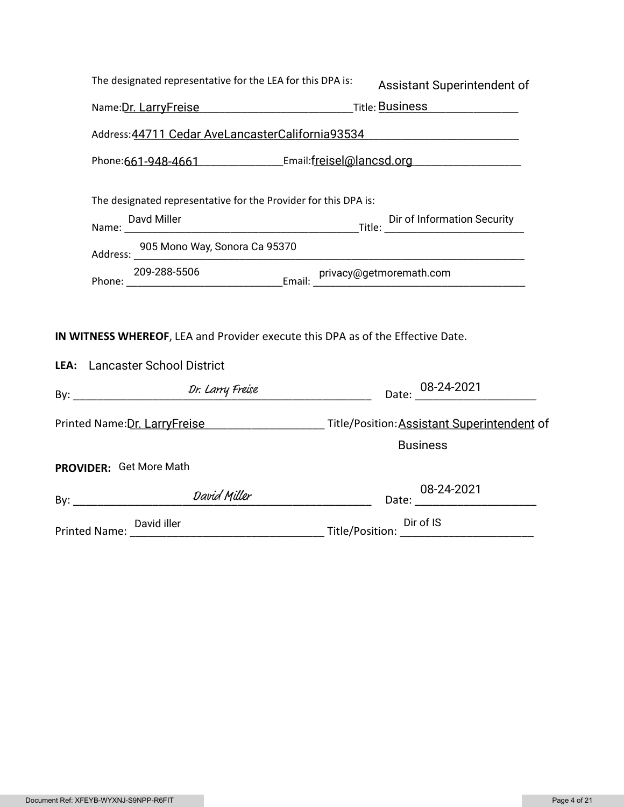| The designated representative for the LEA for this DPA is:                                                        | Assistant Superintendent of                                                                                   |
|-------------------------------------------------------------------------------------------------------------------|---------------------------------------------------------------------------------------------------------------|
|                                                                                                                   |                                                                                                               |
| Address: 44711 Cedar AveLancasterCalifornia93534                                                                  |                                                                                                               |
| Phone:661-948-4661 Email:freisel@lancsd.org                                                                       |                                                                                                               |
| The designated representative for the Provider for this DPA is:                                                   |                                                                                                               |
| Davd Miller Dir of Information Security Director Contracts Name: Cameracter Contracts Name:                       |                                                                                                               |
| Address: 905 Mono Way, Sonora Ca 95370                                                                            | <u> 1980 - Jan Stein, mars and de Brasilian (b. 1980)</u>                                                     |
|                                                                                                                   |                                                                                                               |
| IN WITNESS WHEREOF, LEA and Provider execute this DPA as of the Effective Date.<br>LEA: Lancaster School District |                                                                                                               |
|                                                                                                                   | Date: 08-24-2021                                                                                              |
|                                                                                                                   | Printed Name: Dr. LarryFreise Manual According Title/Position: Assistant Superintendent of<br><b>Business</b> |
| PROVIDER: Get More Math                                                                                           |                                                                                                               |
| By: David Miller                                                                                                  | 08-24-2021                                                                                                    |
| Printed Name: David iller Dirof IS Dirof IS Dirof IS                                                              |                                                                                                               |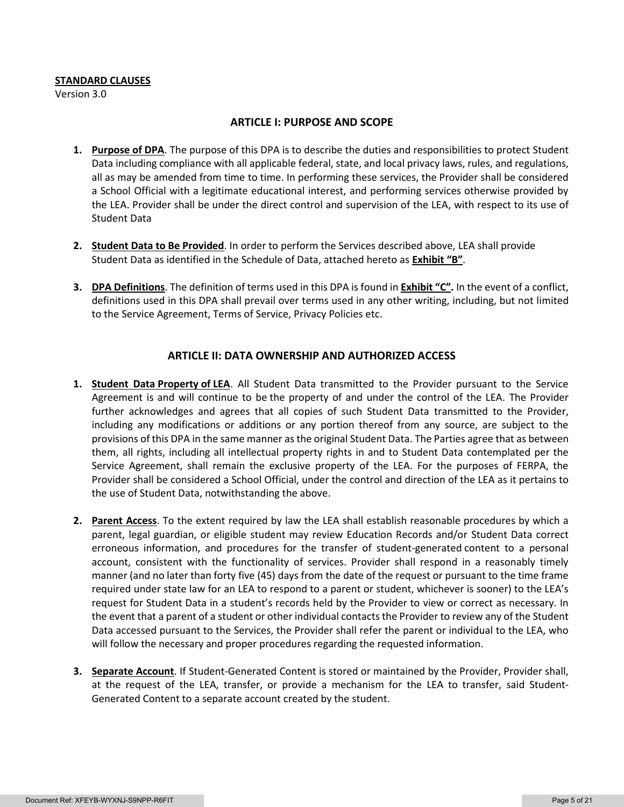#### **STANDARD CLAUSES**

Version 3.0

### **ARTICLE I: PURPOSE AND SCOPE**

- **1. Purpose of DPA**. The purpose of this DPA is to describe the duties and responsibilities to protect Student Data including compliance with all applicable federal, state, and local privacy laws, rules, and regulations, all as may be amended from time to time. In performing these services, the Provider shall be considered a School Official with a legitimate educational interest, and performing services otherwise provided by the LEA. Provider shall be under the direct control and supervision of the LEA, with respect to its use of Student Data
- **2. Student Data to Be Provided**. In order to perform the Services described above, LEA shall provide Student Data as identified in the Schedule of Data, attached hereto as **Exhibit "B"**.
- **3. DPA Definitions**. The definition of terms used in this DPA is found in **Exhibit "C".** In the event of a conflict, definitions used in this DPA shall prevail over terms used in any other writing, including, but not limited to the Service Agreement, Terms of Service, Privacy Policies etc.

## **ARTICLE II: DATA OWNERSHIP AND AUTHORIZED ACCESS**

- **1. Student Data Property of LEA**. All Student Data transmitted to the Provider pursuant to the Service Agreement is and will continue to be the property of and under the control of the LEA. The Provider further acknowledges and agrees that all copies of such Student Data transmitted to the Provider, including any modifications or additions or any portion thereof from any source, are subject to the provisions of this DPA in the same manner as the original Student Data. The Parties agree that as between them, all rights, including all intellectual property rights in and to Student Data contemplated per the Service Agreement, shall remain the exclusive property of the LEA. For the purposes of FERPA, the Provider shall be considered a School Official, under the control and direction of the LEA as it pertains to the use of Student Data, notwithstanding the above.
- **2. Parent Access**. To the extent required by law the LEA shall establish reasonable procedures by which a parent, legal guardian, or eligible student may review Education Records and/or Student Data correct erroneous information, and procedures for the transfer of student-generated content to a personal account, consistent with the functionality of services. Provider shall respond in a reasonably timely manner (and no later than forty five (45) days from the date of the request or pursuant to the time frame required under state law for an LEA to respond to a parent or student, whichever is sooner) to the LEA's request for Student Data in a student's records held by the Provider to view or correct as necessary. In the event that a parent of a student or other individual contacts the Provider to review any of the Student Data accessed pursuant to the Services, the Provider shall refer the parent or individual to the LEA, who will follow the necessary and proper procedures regarding the requested information.
- **3. Separate Account**. If Student-Generated Content is stored or maintained by the Provider, Provider shall, at the request of the LEA, transfer, or provide a mechanism for the LEA to transfer, said Student-Generated Content to a separate account created by the student.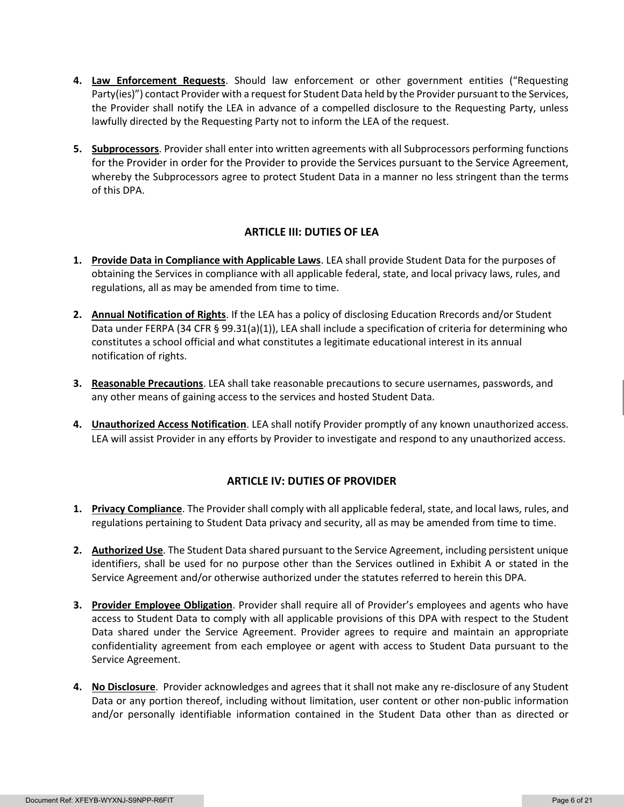- **4. Law Enforcement Requests**. Should law enforcement or other government entities ("Requesting Party(ies)") contact Provider with a request for Student Data held by the Provider pursuant to the Services, the Provider shall notify the LEA in advance of a compelled disclosure to the Requesting Party, unless lawfully directed by the Requesting Party not to inform the LEA of the request.
- **5. Subprocessors**. Provider shall enter into written agreements with all Subprocessors performing functions for the Provider in order for the Provider to provide the Services pursuant to the Service Agreement, whereby the Subprocessors agree to protect Student Data in a manner no less stringent than the terms of this DPA.

## **ARTICLE III: DUTIES OF LEA**

- **1. Provide Data in Compliance with Applicable Laws**. LEA shall provide Student Data for the purposes of obtaining the Services in compliance with all applicable federal, state, and local privacy laws, rules, and regulations, all as may be amended from time to time.
- **2. Annual Notification of Rights**. If the LEA has a policy of disclosing Education Rrecords and/or Student Data under FERPA (34 CFR § 99.31(a)(1)), LEA shall include a specification of criteria for determining who constitutes a school official and what constitutes a legitimate educational interest in its annual notification of rights.
- **3. Reasonable Precautions**. LEA shall take reasonable precautions to secure usernames, passwords, and any other means of gaining access to the services and hosted Student Data.
- **4. Unauthorized Access Notification**. LEA shall notify Provider promptly of any known unauthorized access. LEA will assist Provider in any efforts by Provider to investigate and respond to any unauthorized access.

## **ARTICLE IV: DUTIES OF PROVIDER**

- **1. Privacy Compliance**. The Provider shall comply with all applicable federal, state, and local laws, rules, and regulations pertaining to Student Data privacy and security, all as may be amended from time to time.
- **2. Authorized Use**. The Student Data shared pursuant to the Service Agreement, including persistent unique identifiers, shall be used for no purpose other than the Services outlined in Exhibit A or stated in the Service Agreement and/or otherwise authorized under the statutes referred to herein this DPA.
- **3. Provider Employee Obligation**. Provider shall require all of Provider's employees and agents who have access to Student Data to comply with all applicable provisions of this DPA with respect to the Student Data shared under the Service Agreement. Provider agrees to require and maintain an appropriate confidentiality agreement from each employee or agent with access to Student Data pursuant to the Service Agreement.
- **4. No Disclosure**. Provider acknowledges and agrees that it shall not make any re-disclosure of any Student Data or any portion thereof, including without limitation, user content or other non-public information and/or personally identifiable information contained in the Student Data other than as directed or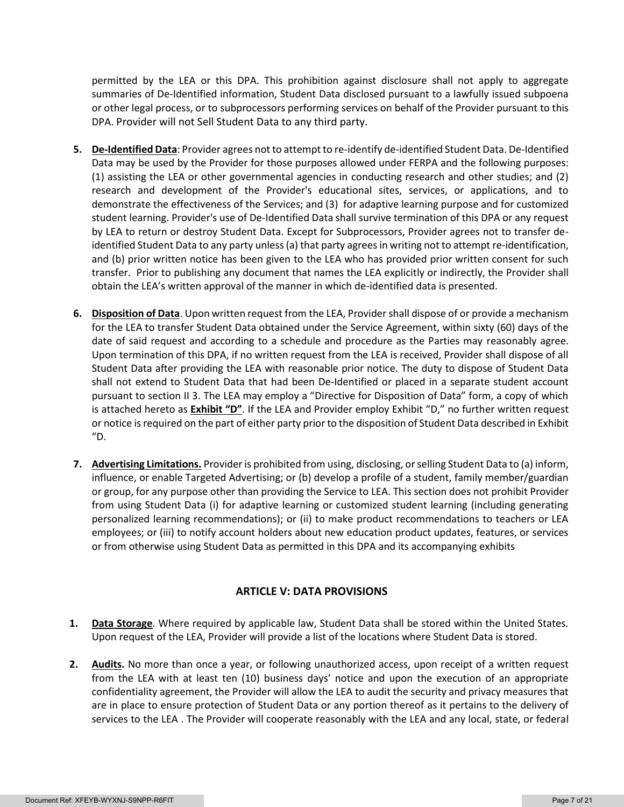permitted by the LEA or this DPA. This prohibition against disclosure shall not apply to aggregate summaries of De-Identified information, Student Data disclosed pursuant to a lawfully issued subpoena or other legal process, or to subprocessors performing services on behalf of the Provider pursuant to this DPA. Provider will not Sell Student Data to any third party.

- **5. De-Identified Data**: Provider agrees not to attempt to re-identify de-identified Student Data. De-Identified Data may be used by the Provider for those purposes allowed under FERPA and the following purposes: (1) assisting the LEA or other governmental agencies in conducting research and other studies; and (2) research and development of the Provider's educational sites, services, or applications, and to demonstrate the effectiveness of the Services; and (3) for adaptive learning purpose and for customized student learning. Provider's use of De-Identified Data shall survive termination of this DPA or any request by LEA to return or destroy Student Data. Except for Subprocessors, Provider agrees not to transfer deidentified Student Data to any party unless (a) that party agrees in writing not to attempt re-identification, and (b) prior written notice has been given to the LEA who has provided prior written consent for such transfer. Prior to publishing any document that names the LEA explicitly or indirectly, the Provider shall obtain the LEA's written approval of the manner in which de-identified data is presented.
- **6. Disposition of Data**. Upon written request from the LEA, Provider shall dispose of or provide a mechanism for the LEA to transfer Student Data obtained under the Service Agreement, within sixty (60) days of the date of said request and according to a schedule and procedure as the Parties may reasonably agree. Upon termination of this DPA, if no written request from the LEA is received, Provider shall dispose of all Student Data after providing the LEA with reasonable prior notice. The duty to dispose of Student Data shall not extend to Student Data that had been De-Identified or placed in a separate student account pursuant to section II 3. The LEA may employ a "Directive for Disposition of Data" form, a copy of which is attached hereto as **Exhibit "D"**. If the LEA and Provider employ Exhibit "D," no further written request or notice is required on the part of either party prior to the disposition of Student Data described in Exhibit  $"D.$
- **7. Advertising Limitations.** Provider is prohibited from using, disclosing, or selling Student Data to (a) inform, influence, or enable Targeted Advertising; or (b) develop a profile of a student, family member/guardian or group, for any purpose other than providing the Service to LEA. This section does not prohibit Provider from using Student Data (i) for adaptive learning or customized student learning (including generating personalized learning recommendations); or (ii) to make product recommendations to teachers or LEA employees; or (iii) to notify account holders about new education product updates, features, or services or from otherwise using Student Data as permitted in this DPA and its accompanying exhibits

## **ARTICLE V: DATA PROVISIONS**

- **1. Data Storage**. Where required by applicable law, Student Data shall be stored within the United States. Upon request of the LEA, Provider will provide a list of the locations where Student Data is stored.
- **2. Audits.** No more than once a year, or following unauthorized access, upon receipt of a written request from the LEA with at least ten (10) business days' notice and upon the execution of an appropriate confidentiality agreement, the Provider will allow the LEA to audit the security and privacy measures that are in place to ensure protection of Student Data or any portion thereof as it pertains to the delivery of services to the LEA . The Provider will cooperate reasonably with the LEA and any local, state, or federal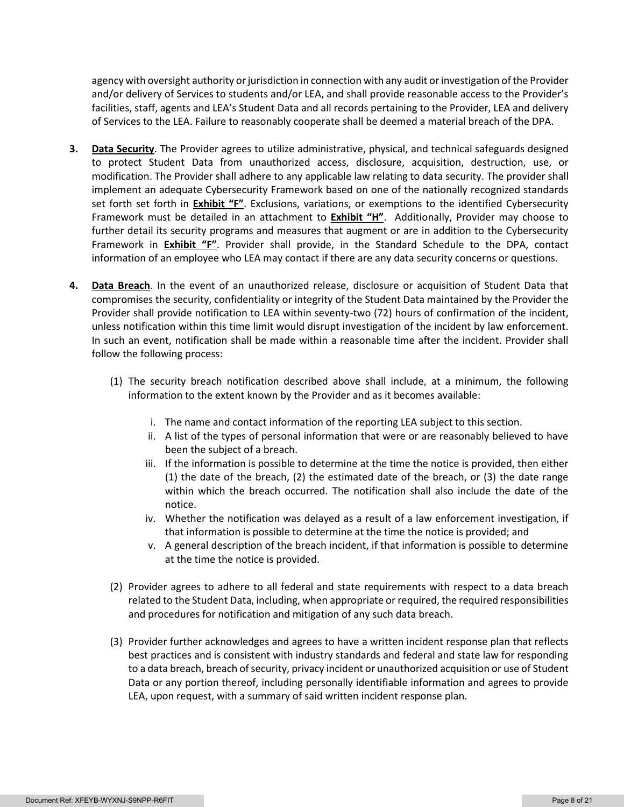agency with oversight authority or jurisdiction in connection with any audit or investigation of the Provider and/or delivery of Services to students and/or LEA, and shall provide reasonable access to the Provider's facilities, staff, agents and LEA's Student Data and all records pertaining to the Provider, LEA and delivery of Services to the LEA. Failure to reasonably cooperate shall be deemed a material breach of the DPA.

- **3. Data Security**. The Provider agrees to utilize administrative, physical, and technical safeguards designed to protect Student Data from unauthorized access, disclosure, acquisition, destruction, use, or modification. The Provider shall adhere to any applicable law relating to data security. The provider shall implement an adequate Cybersecurity Framework based on one of the nationally recognized standards set forth set forth in **Exhibit "F"**. Exclusions, variations, or exemptions to the identified Cybersecurity Framework must be detailed in an attachment to **Exhibit "H"**. Additionally, Provider may choose to further detail its security programs and measures that augment or are in addition to the Cybersecurity Framework in **Exhibit "F"**. Provider shall provide, in the Standard Schedule to the DPA, contact information of an employee who LEA may contact if there are any data security concerns or questions.
- **4. Data Breach**. In the event of an unauthorized release, disclosure or acquisition of Student Data that compromises the security, confidentiality or integrity of the Student Data maintained by the Provider the Provider shall provide notification to LEA within seventy-two (72) hours of confirmation of the incident, unless notification within this time limit would disrupt investigation of the incident by law enforcement. In such an event, notification shall be made within a reasonable time after the incident. Provider shall follow the following process:
	- (1) The security breach notification described above shall include, at a minimum, the following information to the extent known by the Provider and as it becomes available:
		- i. The name and contact information of the reporting LEA subject to this section.
		- ii. A list of the types of personal information that were or are reasonably believed to have been the subject of a breach.
		- iii. If the information is possible to determine at the time the notice is provided, then either (1) the date of the breach, (2) the estimated date of the breach, or (3) the date range within which the breach occurred. The notification shall also include the date of the notice.
		- iv. Whether the notification was delayed as a result of a law enforcement investigation, if that information is possible to determine at the time the notice is provided; and
		- v. A general description of the breach incident, if that information is possible to determine at the time the notice is provided.
	- (2) Provider agrees to adhere to all federal and state requirements with respect to a data breach related to the Student Data, including, when appropriate or required, the required responsibilities and procedures for notification and mitigation of any such data breach.
	- (3) Provider further acknowledges and agrees to have a written incident response plan that reflects best practices and is consistent with industry standards and federal and state law for responding to a data breach, breach of security, privacy incident or unauthorized acquisition or use of Student Data or any portion thereof, including personally identifiable information and agrees to provide LEA, upon request, with a summary of said written incident response plan.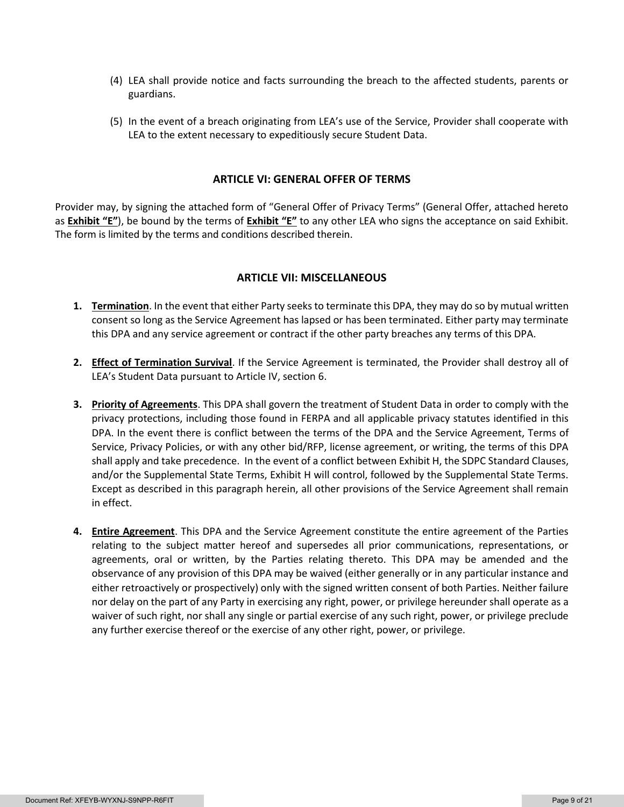- (4) LEA shall provide notice and facts surrounding the breach to the affected students, parents or guardians.
- (5) In the event of a breach originating from LEA's use of the Service, Provider shall cooperate with LEA to the extent necessary to expeditiously secure Student Data.

### **ARTICLE VI: GENERAL OFFER OF TERMS**

Provider may, by signing the attached form of "General Offer of Privacy Terms" (General Offer, attached hereto as **Exhibit "E"**), be bound by the terms of **Exhibit "E"** to any other LEA who signs the acceptance on said Exhibit. The form is limited by the terms and conditions described therein.

#### **ARTICLE VII: MISCELLANEOUS**

- **1. Termination**. In the event that either Party seeks to terminate this DPA, they may do so by mutual written consent so long as the Service Agreement has lapsed or has been terminated. Either party may terminate this DPA and any service agreement or contract if the other party breaches any terms of this DPA.
- **2. Effect of Termination Survival**. If the Service Agreement is terminated, the Provider shall destroy all of LEA's Student Data pursuant to Article IV, section 6.
- **3. Priority of Agreements**. This DPA shall govern the treatment of Student Data in order to comply with the privacy protections, including those found in FERPA and all applicable privacy statutes identified in this DPA. In the event there is conflict between the terms of the DPA and the Service Agreement, Terms of Service, Privacy Policies, or with any other bid/RFP, license agreement, or writing, the terms of this DPA shall apply and take precedence. In the event of a conflict between Exhibit H, the SDPC Standard Clauses, and/or the Supplemental State Terms, Exhibit H will control, followed by the Supplemental State Terms. Except as described in this paragraph herein, all other provisions of the Service Agreement shall remain in effect.
- **4. Entire Agreement**. This DPA and the Service Agreement constitute the entire agreement of the Parties relating to the subject matter hereof and supersedes all prior communications, representations, or agreements, oral or written, by the Parties relating thereto. This DPA may be amended and the observance of any provision of this DPA may be waived (either generally or in any particular instance and either retroactively or prospectively) only with the signed written consent of both Parties. Neither failure nor delay on the part of any Party in exercising any right, power, or privilege hereunder shall operate as a waiver of such right, nor shall any single or partial exercise of any such right, power, or privilege preclude any further exercise thereof or the exercise of any other right, power, or privilege.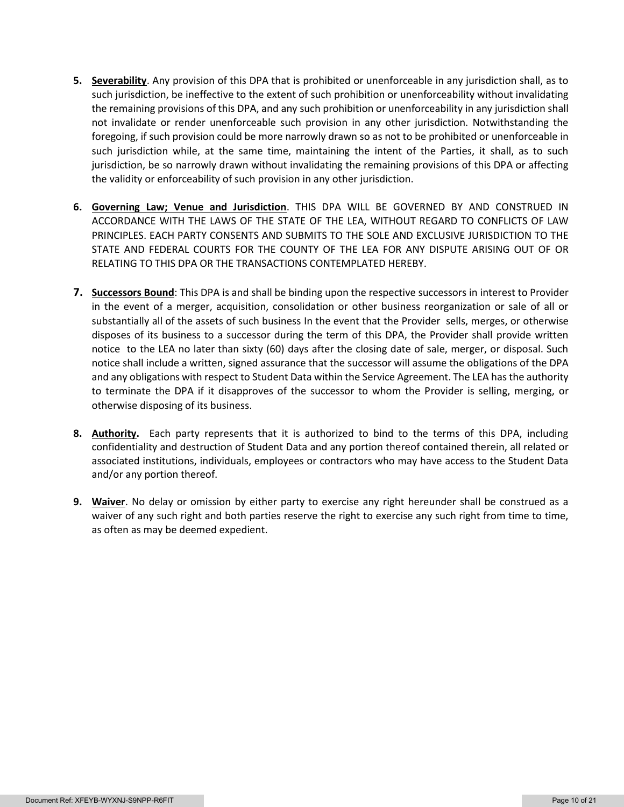- **5. Severability**. Any provision of this DPA that is prohibited or unenforceable in any jurisdiction shall, as to such jurisdiction, be ineffective to the extent of such prohibition or unenforceability without invalidating the remaining provisions of this DPA, and any such prohibition or unenforceability in any jurisdiction shall not invalidate or render unenforceable such provision in any other jurisdiction. Notwithstanding the foregoing, if such provision could be more narrowly drawn so as not to be prohibited or unenforceable in such jurisdiction while, at the same time, maintaining the intent of the Parties, it shall, as to such jurisdiction, be so narrowly drawn without invalidating the remaining provisions of this DPA or affecting the validity or enforceability of such provision in any other jurisdiction.
- **6. Governing Law; Venue and Jurisdiction**. THIS DPA WILL BE GOVERNED BY AND CONSTRUED IN ACCORDANCE WITH THE LAWS OF THE STATE OF THE LEA, WITHOUT REGARD TO CONFLICTS OF LAW PRINCIPLES. EACH PARTY CONSENTS AND SUBMITS TO THE SOLE AND EXCLUSIVE JURISDICTION TO THE STATE AND FEDERAL COURTS FOR THE COUNTY OF THE LEA FOR ANY DISPUTE ARISING OUT OF OR RELATING TO THIS DPA OR THE TRANSACTIONS CONTEMPLATED HEREBY.
- **7. Successors Bound**: This DPA is and shall be binding upon the respective successors in interest to Provider in the event of a merger, acquisition, consolidation or other business reorganization or sale of all or substantially all of the assets of such business In the event that the Provider sells, merges, or otherwise disposes of its business to a successor during the term of this DPA, the Provider shall provide written notice to the LEA no later than sixty (60) days after the closing date of sale, merger, or disposal. Such notice shall include a written, signed assurance that the successor will assume the obligations of the DPA and any obligations with respect to Student Data within the Service Agreement. The LEA has the authority to terminate the DPA if it disapproves of the successor to whom the Provider is selling, merging, or otherwise disposing of its business.
- **8. Authority.** Each party represents that it is authorized to bind to the terms of this DPA, including confidentiality and destruction of Student Data and any portion thereof contained therein, all related or associated institutions, individuals, employees or contractors who may have access to the Student Data and/or any portion thereof.
- **9. Waiver**. No delay or omission by either party to exercise any right hereunder shall be construed as a waiver of any such right and both parties reserve the right to exercise any such right from time to time, as often as may be deemed expedient.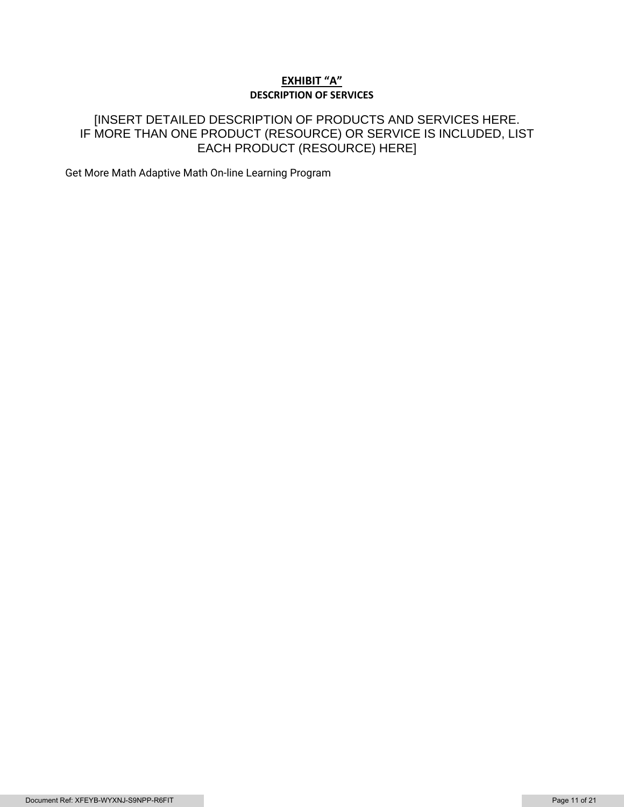## **EXHIBIT "A" DESCRIPTION OF SERVICES**

## [INSERT DETAILED DESCRIPTION OF PRODUCTS AND SERVICES HERE. IF MORE THAN ONE PRODUCT (RESOURCE) OR SERVICE IS INCLUDED, LIST EACH PRODUCT (RESOURCE) HERE]

Get More Math Adaptive Math On-line Learning Program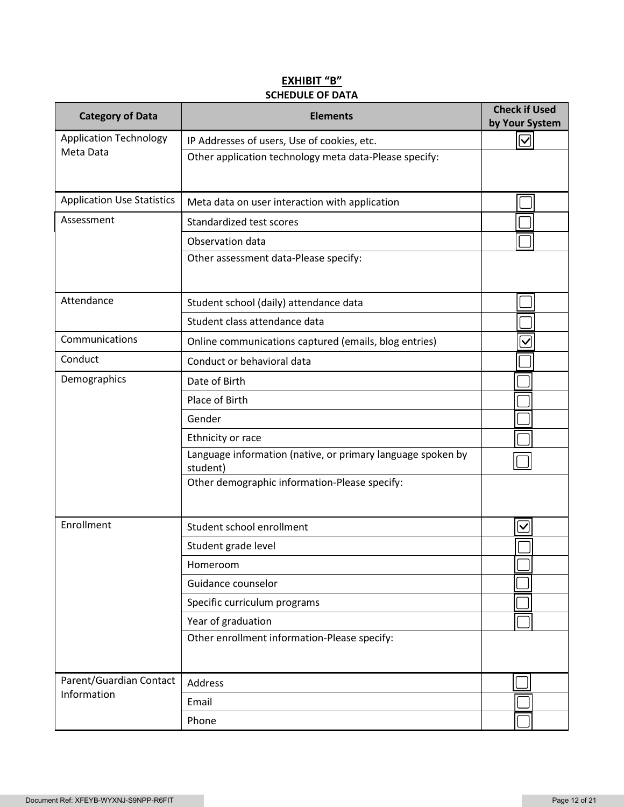## **EXHIBIT "B" SCHEDULE OF DATA**

| <b>Category of Data</b>           | <b>Elements</b>                                                         | <b>Check if Used</b><br>by Your System |
|-----------------------------------|-------------------------------------------------------------------------|----------------------------------------|
| <b>Application Technology</b>     | IP Addresses of users, Use of cookies, etc.                             | $\overline{\vee}$                      |
| Meta Data                         | Other application technology meta data-Please specify:                  |                                        |
| <b>Application Use Statistics</b> | Meta data on user interaction with application                          |                                        |
| Assessment                        | Standardized test scores                                                |                                        |
|                                   | Observation data                                                        |                                        |
|                                   | Other assessment data-Please specify:                                   |                                        |
| Attendance                        | Student school (daily) attendance data                                  |                                        |
|                                   | Student class attendance data                                           |                                        |
| Communications                    | Online communications captured (emails, blog entries)                   | $\checkmark$                           |
| Conduct                           | Conduct or behavioral data                                              |                                        |
| Demographics                      | Date of Birth                                                           |                                        |
|                                   | Place of Birth                                                          |                                        |
|                                   | Gender                                                                  |                                        |
|                                   | Ethnicity or race                                                       |                                        |
|                                   | Language information (native, or primary language spoken by<br>student) |                                        |
|                                   | Other demographic information-Please specify:                           |                                        |
| Enrollment                        | Student school enrollment                                               | $\vee$                                 |
|                                   | Student grade level                                                     |                                        |
|                                   | Homeroom                                                                |                                        |
|                                   | Guidance counselor                                                      |                                        |
|                                   | Specific curriculum programs                                            |                                        |
|                                   | Year of graduation                                                      |                                        |
|                                   | Other enrollment information-Please specify:                            |                                        |
| Parent/Guardian Contact           | Address                                                                 |                                        |
| Information                       | Email                                                                   |                                        |
|                                   | Phone                                                                   |                                        |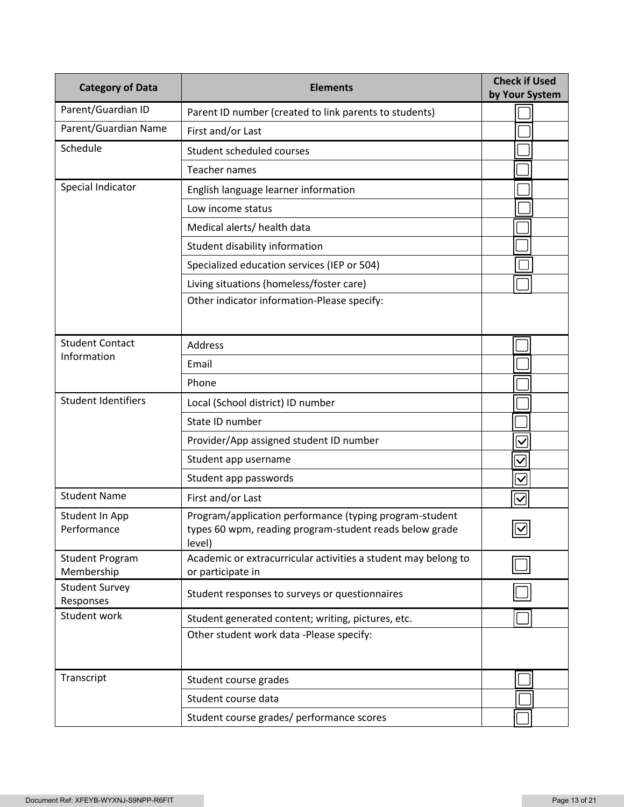| <b>Category of Data</b>              | <b>Elements</b>                                                                                                              | <b>Check if Used</b><br>by Your System |
|--------------------------------------|------------------------------------------------------------------------------------------------------------------------------|----------------------------------------|
| Parent/Guardian ID                   | Parent ID number (created to link parents to students)                                                                       |                                        |
| Parent/Guardian Name                 | First and/or Last                                                                                                            |                                        |
| Schedule                             | Student scheduled courses                                                                                                    |                                        |
|                                      | Teacher names                                                                                                                |                                        |
| Special Indicator                    | English language learner information                                                                                         |                                        |
|                                      | Low income status                                                                                                            |                                        |
|                                      | Medical alerts/ health data                                                                                                  |                                        |
|                                      | Student disability information                                                                                               |                                        |
|                                      | Specialized education services (IEP or 504)                                                                                  |                                        |
|                                      | Living situations (homeless/foster care)                                                                                     |                                        |
|                                      | Other indicator information-Please specify:                                                                                  |                                        |
| <b>Student Contact</b>               | <b>Address</b>                                                                                                               |                                        |
| Information                          | Email                                                                                                                        |                                        |
|                                      | Phone                                                                                                                        |                                        |
| <b>Student Identifiers</b>           | Local (School district) ID number                                                                                            |                                        |
|                                      | State ID number                                                                                                              |                                        |
|                                      | Provider/App assigned student ID number                                                                                      | $\overline{\vee}$                      |
|                                      | Student app username                                                                                                         | $\checkmark$                           |
|                                      | Student app passwords                                                                                                        | $\overline{\checkmark}$                |
| <b>Student Name</b>                  | First and/or Last                                                                                                            | $\overline{\vee}$                      |
| Student In App<br>Performance        | Program/application performance (typing program-student<br>types 60 wpm, reading program-student reads below grade<br>level) | $\boxed{\textcolor{blue}{\mathbb{Z}}}$ |
| <b>Student Program</b><br>Membership | Academic or extracurricular activities a student may belong to<br>or participate in                                          |                                        |
| <b>Student Survey</b><br>Responses   | Student responses to surveys or questionnaires                                                                               |                                        |
| Student work                         | Student generated content; writing, pictures, etc.                                                                           |                                        |
|                                      | Other student work data -Please specify:                                                                                     |                                        |
| Transcript                           | Student course grades                                                                                                        |                                        |
|                                      | Student course data                                                                                                          |                                        |
|                                      | Student course grades/ performance scores                                                                                    |                                        |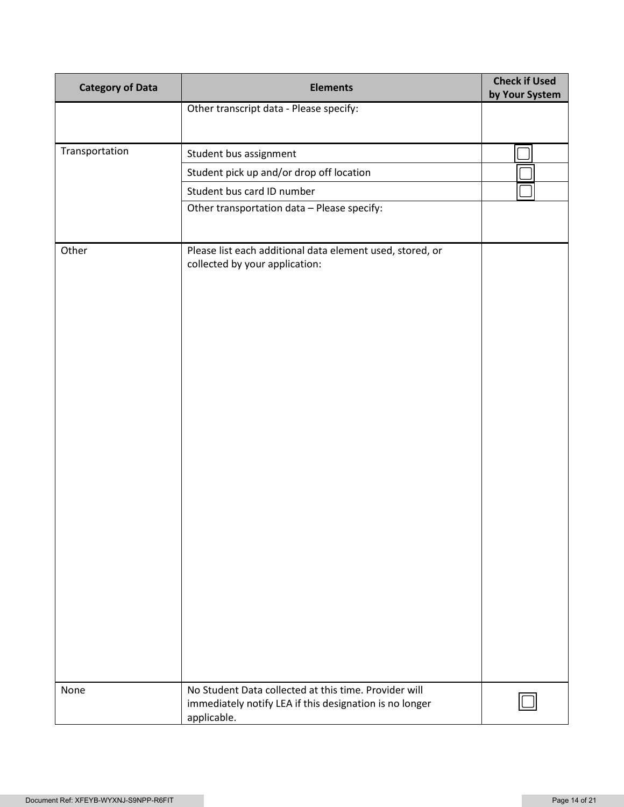| <b>Category of Data</b> | <b>Elements</b>                                                                                                  | <b>Check if Used</b><br>by Your System |
|-------------------------|------------------------------------------------------------------------------------------------------------------|----------------------------------------|
|                         | Other transcript data - Please specify:                                                                          |                                        |
|                         |                                                                                                                  |                                        |
| Transportation          | Student bus assignment                                                                                           |                                        |
|                         | Student pick up and/or drop off location                                                                         |                                        |
|                         | Student bus card ID number                                                                                       |                                        |
|                         | Other transportation data - Please specify:                                                                      |                                        |
|                         |                                                                                                                  |                                        |
| Other                   | Please list each additional data element used, stored, or<br>collected by your application:                      |                                        |
| None                    | No Student Data collected at this time. Provider will<br>immediately notify LEA if this designation is no longer |                                        |
|                         | applicable.                                                                                                      |                                        |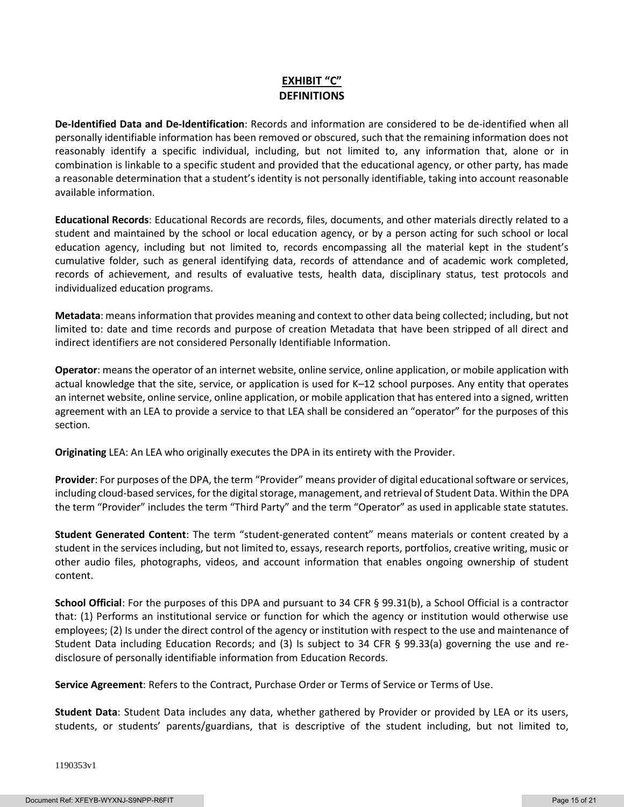## **EXHIBIT "C" DEFINITIONS**

**De-Identified Data and De-Identification**: Records and information are considered to be de-identified when all personally identifiable information has been removed or obscured, such that the remaining information does not reasonably identify a specific individual, including, but not limited to, any information that, alone or in combination is linkable to a specific student and provided that the educational agency, or other party, has made a reasonable determination that a student's identity is not personally identifiable, taking into account reasonable available information.

**Educational Records**: Educational Records are records, files, documents, and other materials directly related to a student and maintained by the school or local education agency, or by a person acting for such school or local education agency, including but not limited to, records encompassing all the material kept in the student's cumulative folder, such as general identifying data, records of attendance and of academic work completed, records of achievement, and results of evaluative tests, health data, disciplinary status, test protocols and individualized education programs.

**Metadata**: means information that provides meaning and context to other data being collected; including, but not limited to: date and time records and purpose of creation Metadata that have been stripped of all direct and indirect identifiers are not considered Personally Identifiable Information.

**Operator**: means the operator of an internet website, online service, online application, or mobile application with actual knowledge that the site, service, or application is used for K–12 school purposes. Any entity that operates an internet website, online service, online application, or mobile application that has entered into a signed, written agreement with an LEA to provide a service to that LEA shall be considered an "operator" for the purposes of this section.

**Originating** LEA: An LEA who originally executes the DPA in its entirety with the Provider.

**Provider**: For purposes of the DPA, the term "Provider" means provider of digital educational software or services, including cloud-based services, for the digital storage, management, and retrieval of Student Data. Within the DPA the term "Provider" includes the term "Third Party" and the term "Operator" as used in applicable state statutes.

**Student Generated Content**: The term "student-generated content" means materials or content created by a student in the services including, but not limited to, essays, research reports, portfolios, creative writing, music or other audio files, photographs, videos, and account information that enables ongoing ownership of student content.

**School Official**: For the purposes of this DPA and pursuant to 34 CFR § 99.31(b), a School Official is a contractor that: (1) Performs an institutional service or function for which the agency or institution would otherwise use employees; (2) Is under the direct control of the agency or institution with respect to the use and maintenance of Student Data including Education Records; and (3) Is subject to 34 CFR § 99.33(a) governing the use and redisclosure of personally identifiable information from Education Records.

**Service Agreement**: Refers to the Contract, Purchase Order or Terms of Service or Terms of Use.

**Student Data**: Student Data includes any data, whether gathered by Provider or provided by LEA or its users, students, or students' parents/guardians, that is descriptive of the student including, but not limited to,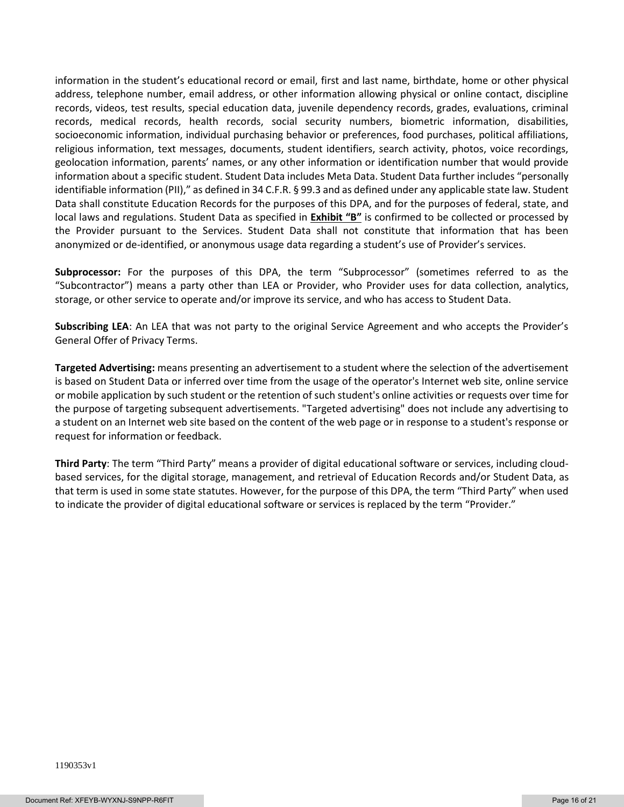information in the student's educational record or email, first and last name, birthdate, home or other physical address, telephone number, email address, or other information allowing physical or online contact, discipline records, videos, test results, special education data, juvenile dependency records, grades, evaluations, criminal records, medical records, health records, social security numbers, biometric information, disabilities, socioeconomic information, individual purchasing behavior or preferences, food purchases, political affiliations, religious information, text messages, documents, student identifiers, search activity, photos, voice recordings, geolocation information, parents' names, or any other information or identification number that would provide information about a specific student. Student Data includes Meta Data. Student Data further includes "personally identifiable information (PII)," as defined in 34 C.F.R. § 99.3 and as defined under any applicable state law. Student Data shall constitute Education Records for the purposes of this DPA, and for the purposes of federal, state, and local laws and regulations. Student Data as specified in **Exhibit "B"** is confirmed to be collected or processed by the Provider pursuant to the Services. Student Data shall not constitute that information that has been anonymized or de-identified, or anonymous usage data regarding a student's use of Provider's services.

**Subprocessor:** For the purposes of this DPA, the term "Subprocessor" (sometimes referred to as the "Subcontractor") means a party other than LEA or Provider, who Provider uses for data collection, analytics, storage, or other service to operate and/or improve its service, and who has access to Student Data.

**Subscribing LEA**: An LEA that was not party to the original Service Agreement and who accepts the Provider's General Offer of Privacy Terms.

**Targeted Advertising:** means presenting an advertisement to a student where the selection of the advertisement is based on Student Data or inferred over time from the usage of the operator's Internet web site, online service or mobile application by such student or the retention of such student's online activities or requests over time for the purpose of targeting subsequent advertisements. "Targeted advertising" does not include any advertising to a student on an Internet web site based on the content of the web page or in response to a student's response or request for information or feedback.

**Third Party**: The term "Third Party" means a provider of digital educational software or services, including cloudbased services, for the digital storage, management, and retrieval of Education Records and/or Student Data, as that term is used in some state statutes. However, for the purpose of this DPA, the term "Third Party" when used to indicate the provider of digital educational software or services is replaced by the term "Provider."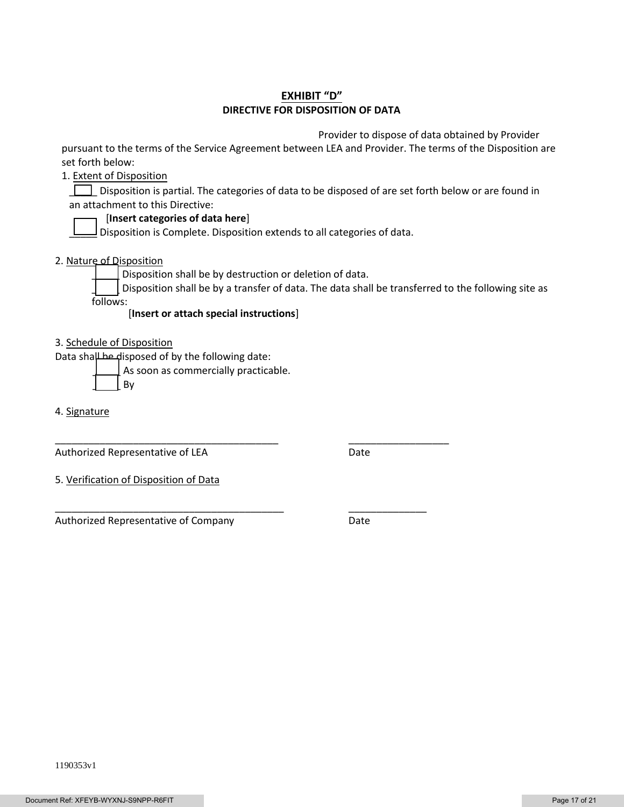## **EXHIBIT "D" DIRECTIVE FOR DISPOSITION OF DATA**

Provider to dispose of data obtained by Provider

pursuant to the terms of the Service Agreement between LEA and Provider. The terms of the Disposition are set forth below:

1. Extent of Disposition

Disposition is partial. The categories of data to be disposed of are set forth below or are found in an attachment to this Directive:

### [**Insert categories of data here**]

 $\Box$  Disposition is Complete. Disposition extends to all categories of data.

2. Nature of Disposition

Disposition shall be by destruction or deletion of data.

\_\_\_\_\_\_\_\_\_\_\_\_\_\_\_\_\_\_\_\_\_\_\_\_\_\_\_\_\_\_\_\_\_\_\_\_\_\_\_\_ \_\_\_\_\_\_\_\_\_\_\_\_\_\_\_\_\_\_

\_\_\_\_\_\_\_\_\_\_\_\_\_\_\_\_\_\_\_\_\_\_\_\_\_\_\_\_\_\_\_\_\_\_\_\_\_\_\_\_\_ \_\_\_\_\_\_\_\_\_\_\_\_\_\_

Disposition shall be by a transfer of data. The data shall be transferred to the following site as follows:

[**Insert or attach special instructions**]

3. Schedule of Disposition

Data shall be disposed of by the following date:

As soon as commercially practicable.

\_\_\_\_\_ By

4. Signature

Authorized Representative of LEA Date

5. Verification of Disposition of Data

Authorized Representative of Company **Date**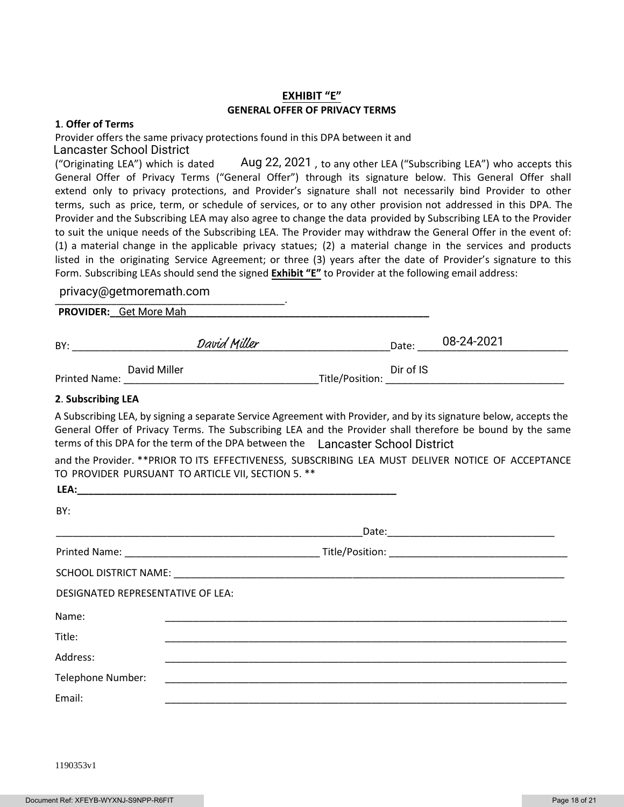## **EXHIBIT "E" GENERAL OFFER OF PRIVACY TERMS**

#### **1**. **Offer of Terms**

Provider offers the same privacy protections found in this DPA between it and Lancaster School District

("Originating LEA") which is dated  $\hskip 1.6cm \hskip 1.6cm \hskip 1.6cm \hskip 1.6cm \hskip 1.6cm \hskip 1.6cm \hskip 1.6cm \hskip 1.6cm \hskip 1.6cm \hskip 1.6cm \hskip 1.6cm \hskip 1.6cm \hskip 1.6cm \hskip 1.6cm \hskip 1.6cm \hskip 1.6cm \hskip 1.6cm \hskip 1.6cm \hskip 1.6cm \hskip 1.6cm \hskip 1.6cm \hskip 1.6cm \hskip 1.6cm \$ General Offer of Privacy Terms ("General Offer") through its signature below. This General Offer shall extend only to privacy protections, and Provider's signature shall not necessarily bind Provider to other terms, such as price, term, or schedule of services, or to any other provision not addressed in this DPA. The Provider and the Subscribing LEA may also agree to change the data provided by Subscribing LEA to the Provider to suit the unique needs of the Subscribing LEA. The Provider may withdraw the General Offer in the event of: (1) a material change in the applicable privacy statues; (2) a material change in the services and products listed in the originating Service Agreement; or three (3) years after the date of Provider's signature to this Form. Subscribing LEAs should send the signed **Exhibit "E"** to Provider at the following email address:

# \_\_\_\_\_\_\_\_\_\_\_\_\_\_\_\_\_\_\_\_\_\_\_\_\_\_\_\_\_\_\_\_\_\_\_\_\_\_\_\_\_. privacy@getmoremath.com

| <b>PROVIDER</b> | Get More Mah |  |
|-----------------|--------------|--|
|                 |              |  |

| BY:                  |              | David Miller |                 | Date:     | 08-24-2021 |
|----------------------|--------------|--------------|-----------------|-----------|------------|
| <b>Printed Name:</b> | David Miller |              | Title/Position: | Dir of IS |            |

#### **2**. **Subscribing LEA**

A Subscribing LEA, by signing a separate Service Agreement with Provider, and by its signature below, accepts the General Offer of Privacy Terms. The Subscribing LEA and the Provider shall therefore be bound by the same terms of this DPA for the term of the DPA between the Lancaster School District

and the Provider. \*\*PRIOR TO ITS EFFECTIVENESS, SUBSCRIBING LEA MUST DELIVER NOTICE OF ACCEPTANCE TO PROVIDER PURSUANT TO ARTICLE VII, SECTION 5. \*\*

| LEA:                              |  |
|-----------------------------------|--|
| BY:                               |  |
|                                   |  |
|                                   |  |
|                                   |  |
| DESIGNATED REPRESENTATIVE OF LEA: |  |
| Name:                             |  |
| Title:                            |  |
| Address:                          |  |
| Telephone Number:                 |  |
| Email:                            |  |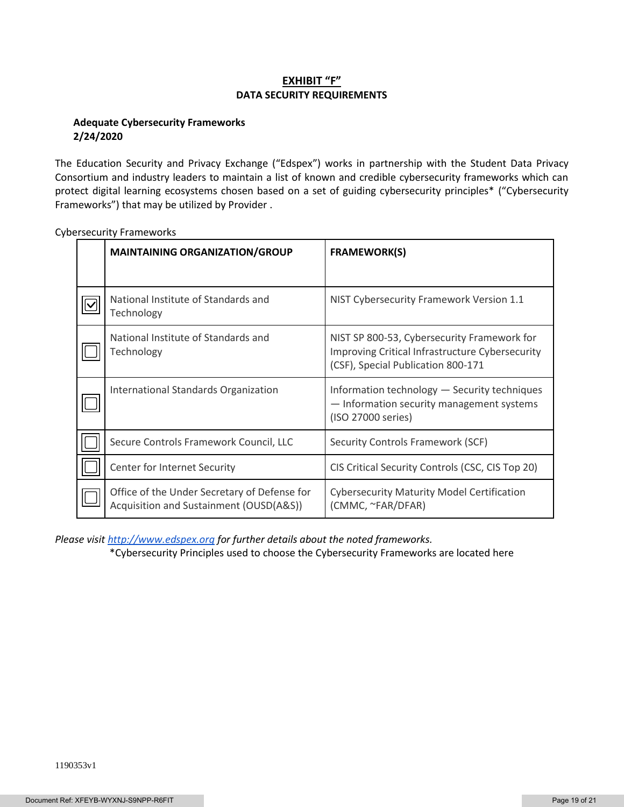## **EXHIBIT "F" DATA SECURITY REQUIREMENTS**

### **Adequate Cybersecurity Frameworks 2/24/2020**

The Education Security and Privacy Exchange ("Edspex") works in partnership with the Student Data Privacy Consortium and industry leaders to maintain a list of known and credible cybersecurity frameworks which can protect digital learning ecosystems chosen based on a set of guiding cybersecurity principles\* ("Cybersecurity Frameworks") that may be utilized by Provider .

| <b>MAINTAINING ORGANIZATION/GROUP</b>                                                   | <b>FRAMEWORK(S)</b>                                                                                                                  |
|-----------------------------------------------------------------------------------------|--------------------------------------------------------------------------------------------------------------------------------------|
|                                                                                         |                                                                                                                                      |
| National Institute of Standards and<br>Technology                                       | NIST Cybersecurity Framework Version 1.1                                                                                             |
| National Institute of Standards and<br>Technology                                       | NIST SP 800-53, Cybersecurity Framework for<br>Improving Critical Infrastructure Cybersecurity<br>(CSF), Special Publication 800-171 |
| International Standards Organization                                                    | Information technology - Security techniques<br>- Information security management systems<br>(ISO 27000 series)                      |
| Secure Controls Framework Council, LLC                                                  | Security Controls Framework (SCF)                                                                                                    |
| Center for Internet Security                                                            | CIS Critical Security Controls (CSC, CIS Top 20)                                                                                     |
| Office of the Under Secretary of Defense for<br>Acquisition and Sustainment (OUSD(A&S)) | <b>Cybersecurity Maturity Model Certification</b><br>(CMMC, ~FAR/DFAR)                                                               |

Cybersecurity Frameworks

*Please visi[t http://www.edspex.org](http://www.edspex.org/) for further details about the noted frameworks.*

\*Cybersecurity Principles used to choose the Cybersecurity Frameworks are located here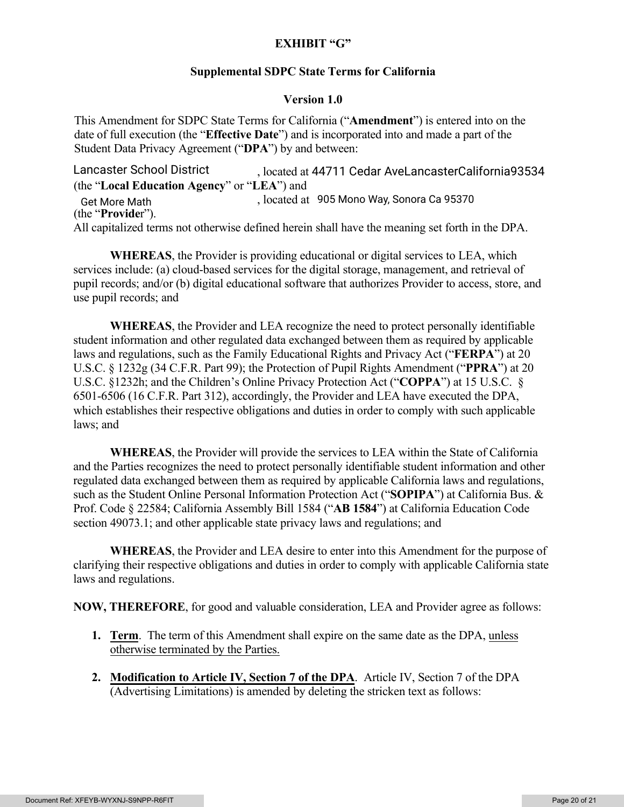## **EXHIBIT "G"**

## **Supplemental SDPC State Terms for California**

## **Version 1.0**

This Amendment for SDPC State Terms for California ("**Amendment**") is entered into on the date of full execution (the "**Effective Date**") and is incorporated into and made a part of the Student Data Privacy Agreement ("**DPA**") by and between:

, located at Lancaster School District 44711 Cedar AveLancasterCalifornia93534 (the "**Local Education Agency**" or "**LEA**") and Get More Math , located at 905 Mono Way, Sonora Ca 95370 (the "**Provide**r"). All capitalized terms not otherwise defined herein shall have the meaning set forth in the DPA.

**WHEREAS**, the Provider is providing educational or digital services to LEA, which services include: (a) cloud-based services for the digital storage, management, and retrieval of pupil records; and/or (b) digital educational software that authorizes Provider to access, store, and use pupil records; and

**WHEREAS**, the Provider and LEA recognize the need to protect personally identifiable student information and other regulated data exchanged between them as required by applicable laws and regulations, such as the Family Educational Rights and Privacy Act ("**FERPA**") at 20 U.S.C. § 1232g (34 C.F.R. Part 99); the Protection of Pupil Rights Amendment ("**PPRA**") at 20 U.S.C. §1232h; and the Children's Online Privacy Protection Act ("**COPPA**") at 15 U.S.C. § 6501-6506 (16 C.F.R. Part 312), accordingly, the Provider and LEA have executed the DPA, which establishes their respective obligations and duties in order to comply with such applicable laws; and

**WHEREAS**, the Provider will provide the services to LEA within the State of California and the Parties recognizes the need to protect personally identifiable student information and other regulated data exchanged between them as required by applicable California laws and regulations, such as the Student Online Personal Information Protection Act ("**SOPIPA**") at California Bus. & Prof. Code § 22584; California Assembly Bill 1584 ("**AB 1584**") at California Education Code section 49073.1; and other applicable state privacy laws and regulations; and

**WHEREAS**, the Provider and LEA desire to enter into this Amendment for the purpose of clarifying their respective obligations and duties in order to comply with applicable California state laws and regulations.

**NOW, THEREFORE**, for good and valuable consideration, LEA and Provider agree as follows:

- **1. Term**. The term of this Amendment shall expire on the same date as the DPA, unless otherwise terminated by the Parties.
- **2. Modification to Article IV, Section 7 of the DPA**. Article IV, Section 7 of the DPA (Advertising Limitations) is amended by deleting the stricken text as follows: